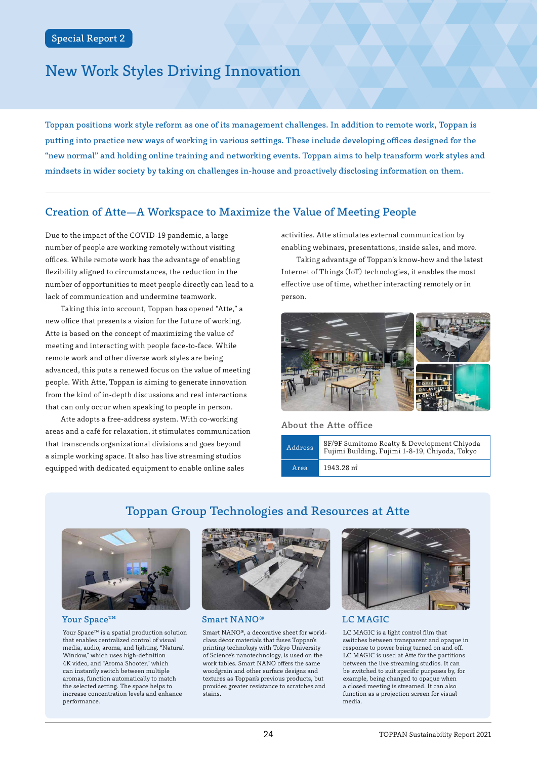# New Work Styles Driving Innovation

Toppan positions work style reform as one of its management challenges. In addition to remote work, Toppan is putting into practice new ways of working in various settings. These include developing offices designed for the "new normal" and holding online training and networking events. Toppan aims to help transform work styles and mindsets in wider society by taking on challenges in-house and proactively disclosing information on them.

## Creation of Atte—A Workspace to Maximize the Value of Meeting People

Due to the impact of the COVID-19 pandemic, a large number of people are working remotely without visiting offices. While remote work has the advantage of enabling flexibility aligned to circumstances, the reduction in the number of opportunities to meet people directly can lead to a lack of communication and undermine teamwork.

Taking this into account, Toppan has opened "Atte," a new office that presents a vision for the future of working. Atte is based on the concept of maximizing the value of meeting and interacting with people face-to-face. While remote work and other diverse work styles are being advanced, this puts a renewed focus on the value of meeting people. With Atte, Toppan is aiming to generate innovation from the kind of in-depth discussions and real interactions that can only occur when speaking to people in person.

Atte adopts a free-address system. With co-working areas and a café for relaxation, it stimulates communication that transcends organizational divisions and goes beyond a simple working space. It also has live streaming studios equipped with dedicated equipment to enable online sales

activities. Atte stimulates external communication by enabling webinars, presentations, inside sales, and more.

Taking advantage of Toppan's know-how and the latest Internet of Things (IoT) technologies, it enables the most effective use of time, whether interacting remotely or in person.



## About the Atte office



# Toppan Group Technologies and Resources at Atte



Your Space<sup>™</sup>

Your Space™ is a spatial production solution that enables centralized control of visual media, audio, aroma, and lighting. "Natural Window," which uses high-definition 4K video, and "Aroma Shooter," which can instantly switch between multiple aromas, function automatically to match the selected setting. The space helps to increase concentration levels and enhance performance.



Smart NANO®

Smart NANO®, a decorative sheet for worldclass décor materials that fuses Toppan's printing technology with Tokyo University of Science's nanotechnology, is used on the work tables. Smart NANO offers the same woodgrain and other surface designs and textures as Toppan's previous products, but provides greater resistance to scratches and stains.



## LC MAGIC

LC MAGIC is a light control film that switches between transparent and opaque in response to power being turned on and off. LC MAGIC is used at Atte for the partitions between the live streaming studios. It can be switched to suit specific purposes by, for example, being changed to opaque when a closed meeting is streamed. It can also function as a projection screen for visual media.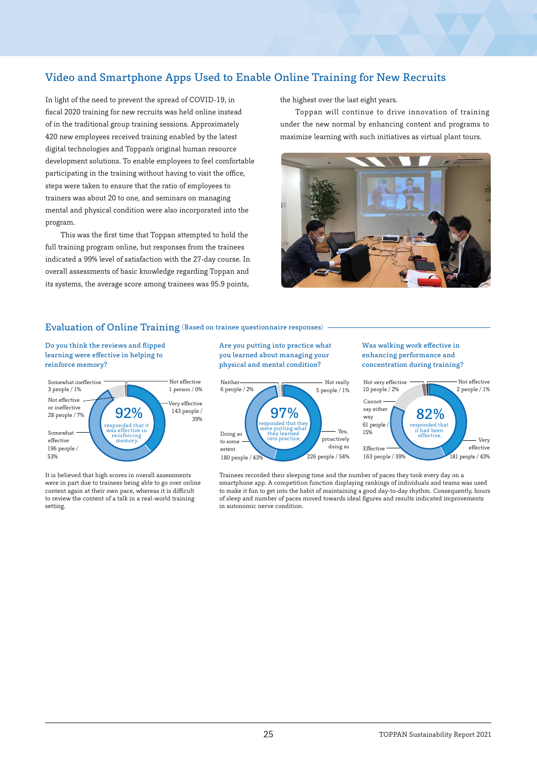# Video and Smartphone Apps Used to Enable Online Training for New Recruits

In light of the need to prevent the spread of COVID-19, in fiscal 2020 training for new recruits was held online instead of in the traditional group training sessions. Approximately 420 new employees received training enabled by the latest digital technologies and Toppan's original human resource development solutions. To enable employees to feel comfortable participating in the training without having to visit the office, steps were taken to ensure that the ratio of employees to trainers was about 20 to one, and seminars on managing mental and physical condition were also incorporated into the program.

This was the first time that Toppan attempted to hold the full training program online, but responses from the trainees indicated a 99% level of satisfaction with the 27-day course. In overall assessments of basic knowledge regarding Toppan and its systems, the average score among trainees was 95.9 points,

the highest over the last eight years.

Toppan will continue to drive innovation of training under the new normal by enhancing content and programs to maximize learning with such initiatives as virtual plant tours.



#### Evaluation of Online Training (Based on trainee questionnaire responses)

Do you think the reviews and flipped learning were effective in helping to reinforce memory?



It is believed that high scores in overall assessments were in part due to trainees being able to go over online content again at their own pace, whereas it is difficult to review the content of a talk in a real-world training setting.

Are you putting into practice what you learned about managing your physical and mental condition?



Was walking work effective in enhancing performance and concentration during training?



Trainees recorded their sleeping time and the number of paces they took every day on a smartphone app. A competition function displaying rankings of individuals and teams was used to make it fun to get into the habit of maintaining a good day-to-day rhythm. Consequently, hours of sleep and number of paces moved towards ideal figures and results indicated improvements in autonomic nerve condition.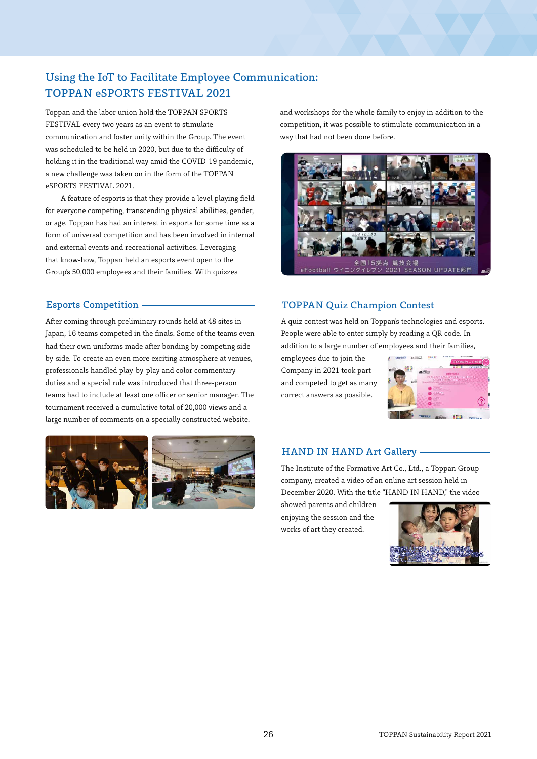# Using the IoT to Facilitate Employee Communication: TOPPAN eSPORTS FESTIVAL 2021

Toppan and the labor union hold the TOPPAN SPORTS FESTIVAL every two years as an event to stimulate communication and foster unity within the Group. The event was scheduled to be held in 2020, but due to the difficulty of holding it in the traditional way amid the COVID-19 pandemic, a new challenge was taken on in the form of the TOPPAN eSPORTS FESTIVAL 2021.

A feature of esports is that they provide a level playing field for everyone competing, transcending physical abilities, gender, or age. Toppan has had an interest in esports for some time as a form of universal competition and has been involved in internal and external events and recreational activities. Leveraging that know-how, Toppan held an esports event open to the Group's 50,000 employees and their families. With quizzes

After coming through preliminary rounds held at 48 sites in Japan, 16 teams competed in the finals. Some of the teams even had their own uniforms made after bonding by competing sideby-side. To create an even more exciting atmosphere at venues, professionals handled play-by-play and color commentary duties and a special rule was introduced that three-person teams had to include at least one officer or senior manager. The tournament received a cumulative total of 20,000 views and a large number of comments on a specially constructed website.





and workshops for the whole family to enjoy in addition to the competition, it was possible to stimulate communication in a way that had not been done before.



## Esports Competition TOPPAN Quiz Champion Contest

A quiz contest was held on Toppan's technologies and esports. People were able to enter simply by reading a QR code. In addition to a large number of employees and their families,

employees due to join the Company in 2021 took part and competed to get as many correct answers as possible.



## HAND IN HAND Art Gallery

The Institute of the Formative Art Co., Ltd., a Toppan Group company, created a video of an online art session held in December 2020. With the title "HAND IN HAND," the video

showed parents and children enjoying the session and the works of art they created.